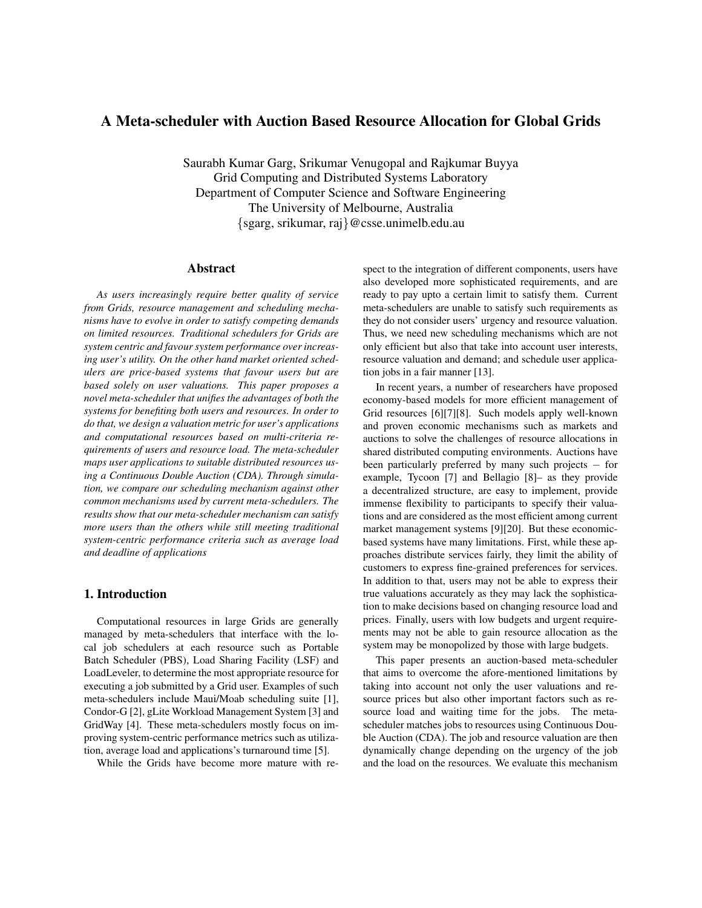# A Meta-scheduler with Auction Based Resource Allocation for Global Grids

Saurabh Kumar Garg, Srikumar Venugopal and Rajkumar Buyya Grid Computing and Distributed Systems Laboratory Department of Computer Science and Software Engineering The University of Melbourne, Australia {sgarg, srikumar, raj}@csse.unimelb.edu.au

### Abstract

*As users increasingly require better quality of service from Grids, resource management and scheduling mechanisms have to evolve in order to satisfy competing demands on limited resources. Traditional schedulers for Grids are system centric and favour system performance over increasing user's utility. On the other hand market oriented schedulers are price-based systems that favour users but are based solely on user valuations. This paper proposes a novel meta-scheduler that unifies the advantages of both the systems for benefiting both users and resources. In order to do that, we design a valuation metric for user's applications and computational resources based on multi-criteria requirements of users and resource load. The meta-scheduler maps user applications to suitable distributed resources using a Continuous Double Auction (CDA). Through simulation, we compare our scheduling mechanism against other common mechanisms used by current meta-schedulers. The results show that our meta-scheduler mechanism can satisfy more users than the others while still meeting traditional system-centric performance criteria such as average load and deadline of applications*

# 1. Introduction

Computational resources in large Grids are generally managed by meta-schedulers that interface with the local job schedulers at each resource such as Portable Batch Scheduler (PBS), Load Sharing Facility (LSF) and LoadLeveler, to determine the most appropriate resource for executing a job submitted by a Grid user. Examples of such meta-schedulers include Maui/Moab scheduling suite [1], Condor-G [2], gLite Workload Management System [3] and GridWay [4]. These meta-schedulers mostly focus on improving system-centric performance metrics such as utilization, average load and applications's turnaround time [5].

While the Grids have become more mature with re-

spect to the integration of different components, users have also developed more sophisticated requirements, and are ready to pay upto a certain limit to satisfy them. Current meta-schedulers are unable to satisfy such requirements as they do not consider users' urgency and resource valuation. Thus, we need new scheduling mechanisms which are not only efficient but also that take into account user interests, resource valuation and demand; and schedule user application jobs in a fair manner [13].

In recent years, a number of researchers have proposed economy-based models for more efficient management of Grid resources [6][7][8]. Such models apply well-known and proven economic mechanisms such as markets and auctions to solve the challenges of resource allocations in shared distributed computing environments. Auctions have been particularly preferred by many such projects − for example, Tycoon [7] and Bellagio [8]– as they provide a decentralized structure, are easy to implement, provide immense flexibility to participants to specify their valuations and are considered as the most efficient among current market management systems [9][20]. But these economicbased systems have many limitations. First, while these approaches distribute services fairly, they limit the ability of customers to express fine-grained preferences for services. In addition to that, users may not be able to express their true valuations accurately as they may lack the sophistication to make decisions based on changing resource load and prices. Finally, users with low budgets and urgent requirements may not be able to gain resource allocation as the system may be monopolized by those with large budgets.

This paper presents an auction-based meta-scheduler that aims to overcome the afore-mentioned limitations by taking into account not only the user valuations and resource prices but also other important factors such as resource load and waiting time for the jobs. The metascheduler matches jobs to resources using Continuous Double Auction (CDA). The job and resource valuation are then dynamically change depending on the urgency of the job and the load on the resources. We evaluate this mechanism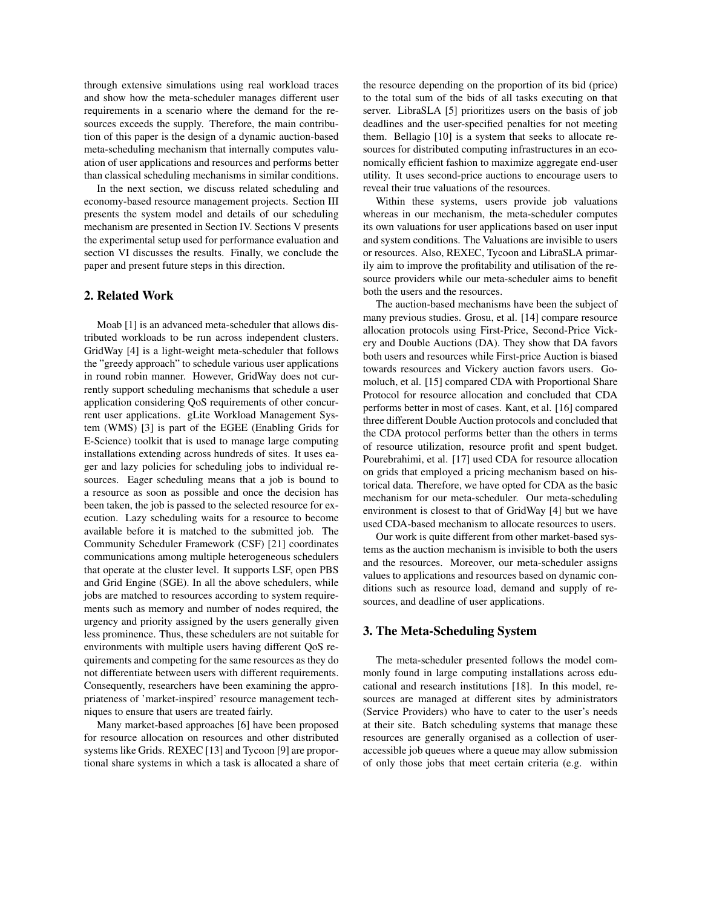through extensive simulations using real workload traces and show how the meta-scheduler manages different user requirements in a scenario where the demand for the resources exceeds the supply. Therefore, the main contribution of this paper is the design of a dynamic auction-based meta-scheduling mechanism that internally computes valuation of user applications and resources and performs better than classical scheduling mechanisms in similar conditions.

In the next section, we discuss related scheduling and economy-based resource management projects. Section III presents the system model and details of our scheduling mechanism are presented in Section IV. Sections V presents the experimental setup used for performance evaluation and section VI discusses the results. Finally, we conclude the paper and present future steps in this direction.

## 2. Related Work

Moab [1] is an advanced meta-scheduler that allows distributed workloads to be run across independent clusters. GridWay [4] is a light-weight meta-scheduler that follows the "greedy approach" to schedule various user applications in round robin manner. However, GridWay does not currently support scheduling mechanisms that schedule a user application considering QoS requirements of other concurrent user applications. gLite Workload Management System (WMS) [3] is part of the EGEE (Enabling Grids for E-Science) toolkit that is used to manage large computing installations extending across hundreds of sites. It uses eager and lazy policies for scheduling jobs to individual resources. Eager scheduling means that a job is bound to a resource as soon as possible and once the decision has been taken, the job is passed to the selected resource for execution. Lazy scheduling waits for a resource to become available before it is matched to the submitted job. The Community Scheduler Framework (CSF) [21] coordinates communications among multiple heterogeneous schedulers that operate at the cluster level. It supports LSF, open PBS and Grid Engine (SGE). In all the above schedulers, while jobs are matched to resources according to system requirements such as memory and number of nodes required, the urgency and priority assigned by the users generally given less prominence. Thus, these schedulers are not suitable for environments with multiple users having different QoS requirements and competing for the same resources as they do not differentiate between users with different requirements. Consequently, researchers have been examining the appropriateness of 'market-inspired' resource management techniques to ensure that users are treated fairly.

Many market-based approaches [6] have been proposed for resource allocation on resources and other distributed systems like Grids. REXEC [13] and Tycoon [9] are proportional share systems in which a task is allocated a share of the resource depending on the proportion of its bid (price) to the total sum of the bids of all tasks executing on that server. LibraSLA [5] prioritizes users on the basis of job deadlines and the user-specified penalties for not meeting them. Bellagio [10] is a system that seeks to allocate resources for distributed computing infrastructures in an economically efficient fashion to maximize aggregate end-user utility. It uses second-price auctions to encourage users to reveal their true valuations of the resources.

Within these systems, users provide job valuations whereas in our mechanism, the meta-scheduler computes its own valuations for user applications based on user input and system conditions. The Valuations are invisible to users or resources. Also, REXEC, Tycoon and LibraSLA primarily aim to improve the profitability and utilisation of the resource providers while our meta-scheduler aims to benefit both the users and the resources.

The auction-based mechanisms have been the subject of many previous studies. Grosu, et al. [14] compare resource allocation protocols using First-Price, Second-Price Vickery and Double Auctions (DA). They show that DA favors both users and resources while First-price Auction is biased towards resources and Vickery auction favors users. Gomoluch, et al. [15] compared CDA with Proportional Share Protocol for resource allocation and concluded that CDA performs better in most of cases. Kant, et al. [16] compared three different Double Auction protocols and concluded that the CDA protocol performs better than the others in terms of resource utilization, resource profit and spent budget. Pourebrahimi, et al. [17] used CDA for resource allocation on grids that employed a pricing mechanism based on historical data. Therefore, we have opted for CDA as the basic mechanism for our meta-scheduler. Our meta-scheduling environment is closest to that of GridWay [4] but we have used CDA-based mechanism to allocate resources to users.

Our work is quite different from other market-based systems as the auction mechanism is invisible to both the users and the resources. Moreover, our meta-scheduler assigns values to applications and resources based on dynamic conditions such as resource load, demand and supply of resources, and deadline of user applications.

### 3. The Meta-Scheduling System

The meta-scheduler presented follows the model commonly found in large computing installations across educational and research institutions [18]. In this model, resources are managed at different sites by administrators (Service Providers) who have to cater to the user's needs at their site. Batch scheduling systems that manage these resources are generally organised as a collection of useraccessible job queues where a queue may allow submission of only those jobs that meet certain criteria (e.g. within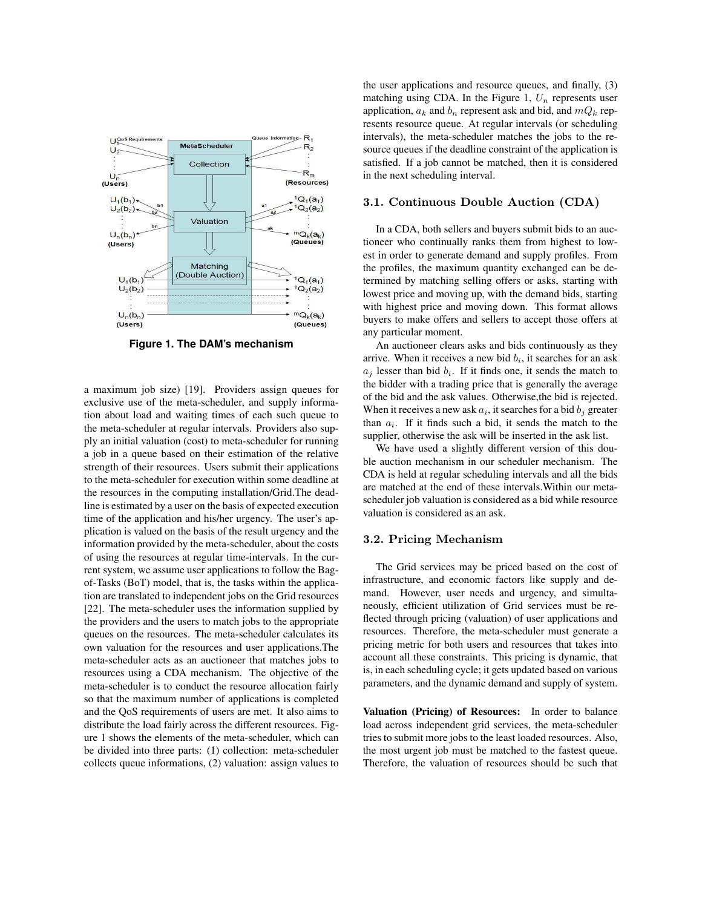

**Figure 1. The DAM's mechanism**

a maximum job size) [19]. Providers assign queues for exclusive use of the meta-scheduler, and supply information about load and waiting times of each such queue to the meta-scheduler at regular intervals. Providers also supply an initial valuation (cost) to meta-scheduler for running a job in a queue based on their estimation of the relative strength of their resources. Users submit their applications to the meta-scheduler for execution within some deadline at the resources in the computing installation/Grid.The deadline is estimated by a user on the basis of expected execution time of the application and his/her urgency. The user's application is valued on the basis of the result urgency and the information provided by the meta-scheduler, about the costs of using the resources at regular time-intervals. In the current system, we assume user applications to follow the Bagof-Tasks (BoT) model, that is, the tasks within the application are translated to independent jobs on the Grid resources [22]. The meta-scheduler uses the information supplied by the providers and the users to match jobs to the appropriate queues on the resources. The meta-scheduler calculates its own valuation for the resources and user applications.The meta-scheduler acts as an auctioneer that matches jobs to resources using a CDA mechanism. The objective of the meta-scheduler is to conduct the resource allocation fairly so that the maximum number of applications is completed and the QoS requirements of users are met. It also aims to distribute the load fairly across the different resources. Figure 1 shows the elements of the meta-scheduler, which can be divided into three parts: (1) collection: meta-scheduler collects queue informations, (2) valuation: assign values to the user applications and resource queues, and finally, (3) matching using CDA. In the Figure 1,  $U_n$  represents user application,  $a_k$  and  $b_n$  represent ask and bid, and  $mQ_k$  represents resource queue. At regular intervals (or scheduling intervals), the meta-scheduler matches the jobs to the resource queues if the deadline constraint of the application is satisfied. If a job cannot be matched, then it is considered in the next scheduling interval.

### 3.1. Continuous Double Auction (CDA)

In a CDA, both sellers and buyers submit bids to an auctioneer who continually ranks them from highest to lowest in order to generate demand and supply profiles. From the profiles, the maximum quantity exchanged can be determined by matching selling offers or asks, starting with lowest price and moving up, with the demand bids, starting with highest price and moving down. This format allows buyers to make offers and sellers to accept those offers at any particular moment.

An auctioneer clears asks and bids continuously as they arrive. When it receives a new bid  $b_i$ , it searches for an ask  $a_j$  lesser than bid  $b_i$ . If it finds one, it sends the match to the bidder with a trading price that is generally the average of the bid and the ask values. Otherwise,the bid is rejected. When it receives a new ask  $a_i$ , it searches for a bid  $b_j$  greater than  $a_i$ . If it finds such a bid, it sends the match to the supplier, otherwise the ask will be inserted in the ask list.

We have used a slightly different version of this double auction mechanism in our scheduler mechanism. The CDA is held at regular scheduling intervals and all the bids are matched at the end of these intervals.Within our metascheduler job valuation is considered as a bid while resource valuation is considered as an ask.

#### 3.2. Pricing Mechanism

The Grid services may be priced based on the cost of infrastructure, and economic factors like supply and demand. However, user needs and urgency, and simultaneously, efficient utilization of Grid services must be reflected through pricing (valuation) of user applications and resources. Therefore, the meta-scheduler must generate a pricing metric for both users and resources that takes into account all these constraints. This pricing is dynamic, that is, in each scheduling cycle; it gets updated based on various parameters, and the dynamic demand and supply of system.

Valuation (Pricing) of Resources: In order to balance load across independent grid services, the meta-scheduler tries to submit more jobs to the least loaded resources. Also, the most urgent job must be matched to the fastest queue. Therefore, the valuation of resources should be such that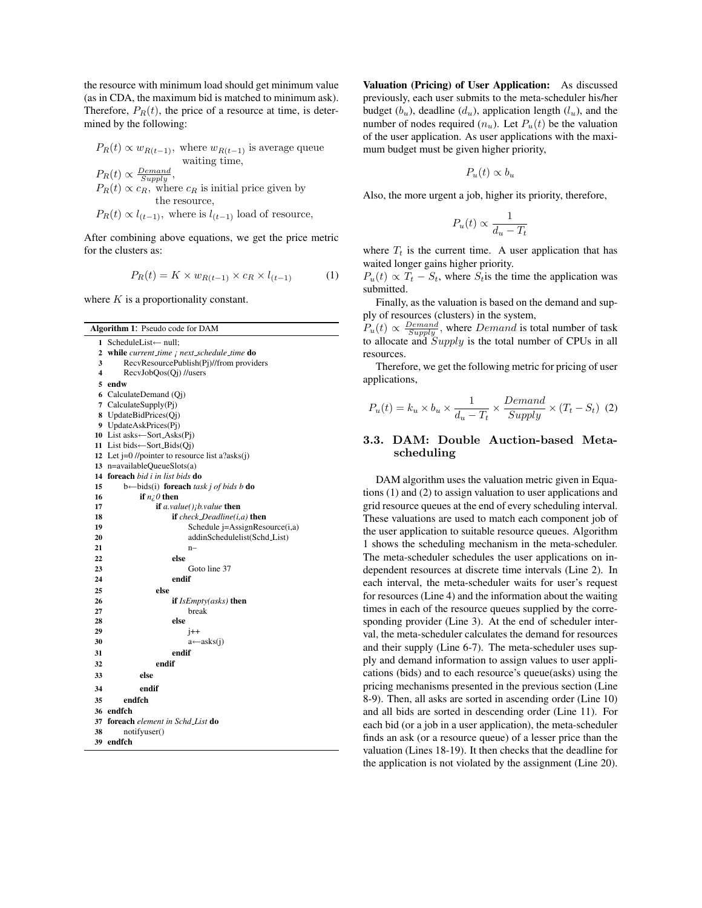the resource with minimum load should get minimum value (as in CDA, the maximum bid is matched to minimum ask). Therefore,  $P_R(t)$ , the price of a resource at time, is determined by the following:

$$
P_R(t) \propto w_{R(t-1)},
$$
 where  $w_{R(t-1)}$  is average queue  
waiting time,  

$$
P_R(t) \propto \frac{Denand}{Supply},
$$

$$
P_R(t) \propto c_R,
$$
 where  $c_R$  is initial price given by  
the resource,  

$$
P_R(t) \propto l_{(t-1)},
$$
 where is  $l_{(t-1)}$  load of resource,

After combining above equations, we get the price metric for the clusters as:

$$
P_R(t) = K \times w_{R(t-1)} \times c_R \times l_{(t-1)}
$$
 (1)

where  $K$  is a proportionality constant.

Algorithm 1: Pseudo code for DAM

| 1              | ScheduleList $\leftarrow$ null;                    |  |  |
|----------------|----------------------------------------------------|--|--|
| $\overline{2}$ | while current_time ; next_schedule_time do         |  |  |
| 3              | RecvResourcePublish(Pj)//from providers            |  |  |
| 4              | RecvJobQos(Qj)//users                              |  |  |
| 5              | endw                                               |  |  |
| 6              | CalculateDemand (Qj)                               |  |  |
|                | 7 CalculateSupply(Pj)                              |  |  |
|                | 8 UpdateBidPrices(Qj)                              |  |  |
|                | 9 UpdateAskPrices(Pj)                              |  |  |
|                | 10 List asks $\leftarrow$ Sort_Asks $(Pi)$         |  |  |
|                | 11 List bids $\leftarrow$ Sort_Bids(Oj)            |  |  |
|                | 12 Let $j=0$ //pointer to resource list a?asks(j)  |  |  |
|                | 13 n=availableQueueSlots(a)                        |  |  |
| 14             | foreach bid i in list bids do                      |  |  |
| 15             | $b \leftarrow bids(i)$ foreach task j of bids b do |  |  |
| 16             | if $n \neq 0$ then                                 |  |  |
| 17             | if $a.value();b.value$ then                        |  |  |
| 18             | if check_Deadline( $i$ ,a) then                    |  |  |
| 19             | Schedule $j=Assigma$ Resource $(i,a)$              |  |  |
| 20             | addinSchedulelist(Schd_List)                       |  |  |
| 21             | $n-$                                               |  |  |
| 22             | else                                               |  |  |
| 23             | Goto line 37                                       |  |  |
| 24             | endif                                              |  |  |
| 25             | else                                               |  |  |
| 26             | if $IsEmpty(asks)$ then                            |  |  |
| 27             | hreak                                              |  |  |
| 28             | else                                               |  |  |
| 29             | $1++$                                              |  |  |
| 30             | $a \leftarrow a$ sks $(i)$                         |  |  |
| 31             | endif                                              |  |  |
| 32             | endif                                              |  |  |
| 33             | else                                               |  |  |
| 34             | endif                                              |  |  |
| 35             | endfch                                             |  |  |
| 36             | endfch                                             |  |  |
| 37             | foreach element in Schd_List do                    |  |  |
| 38             | notifyuser()                                       |  |  |
| 39             | endfch                                             |  |  |
|                |                                                    |  |  |

Valuation (Pricing) of User Application: As discussed previously, each user submits to the meta-scheduler his/her budget  $(b_u)$ , deadline  $(d_u)$ , application length  $(l_u)$ , and the number of nodes required  $(n_u)$ . Let  $P_u(t)$  be the valuation of the user application. As user applications with the maximum budget must be given higher priority,

 $P_u(t) \propto b_u$ 

Also, the more urgent a job, higher its priority, therefore,

$$
P_u(t) \propto \frac{1}{d_u - T_t}
$$

where  $T_t$  is the current time. A user application that has waited longer gains higher priority.

 $P_u(t) \propto T_t - S_t$ , where  $S_t$  is the time the application was submitted.

Finally, as the valuation is based on the demand and supply of resources (clusters) in the system,

 $P_u(t) \propto \frac{Denand}{Supply}$ , where *Demand* is total number of task to allocate and Supply is the total number of CPUs in all resources.

Therefore, we get the following metric for pricing of user applications,

$$
P_u(t) = k_u \times b_u \times \frac{1}{d_u - T_t} \times \frac{Demand}{Supply} \times (T_t - S_t)
$$
 (2)

# 3.3. DAM: Double Auction-based Metascheduling

DAM algorithm uses the valuation metric given in Equations (1) and (2) to assign valuation to user applications and grid resource queues at the end of every scheduling interval. These valuations are used to match each component job of the user application to suitable resource queues. Algorithm 1 shows the scheduling mechanism in the meta-scheduler. The meta-scheduler schedules the user applications on independent resources at discrete time intervals (Line 2). In each interval, the meta-scheduler waits for user's request for resources (Line 4) and the information about the waiting times in each of the resource queues supplied by the corresponding provider (Line 3). At the end of scheduler interval, the meta-scheduler calculates the demand for resources and their supply (Line 6-7). The meta-scheduler uses supply and demand information to assign values to user applications (bids) and to each resource's queue(asks) using the pricing mechanisms presented in the previous section (Line 8-9). Then, all asks are sorted in ascending order (Line 10) and all bids are sorted in descending order (Line 11). For each bid (or a job in a user application), the meta-scheduler finds an ask (or a resource queue) of a lesser price than the valuation (Lines 18-19). It then checks that the deadline for the application is not violated by the assignment (Line 20).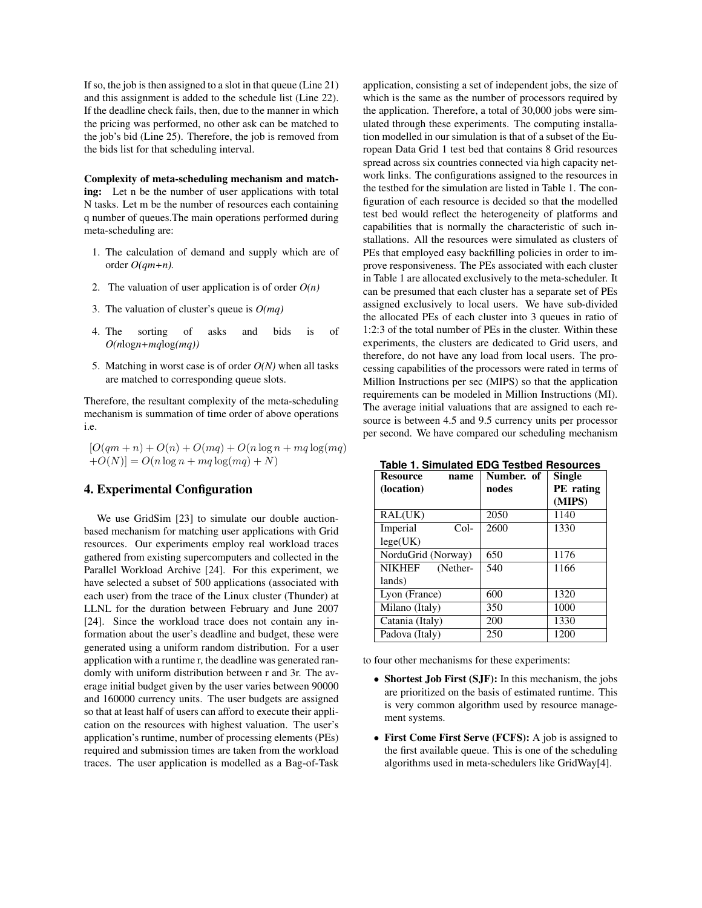If so, the job is then assigned to a slot in that queue (Line 21) and this assignment is added to the schedule list (Line 22). If the deadline check fails, then, due to the manner in which the pricing was performed, no other ask can be matched to the job's bid (Line 25). Therefore, the job is removed from the bids list for that scheduling interval.

Complexity of meta-scheduling mechanism and matching: Let n be the number of user applications with total N tasks. Let m be the number of resources each containing q number of queues.The main operations performed during meta-scheduling are:

- 1. The calculation of demand and supply which are of order *O(qm+n).*
- 2. The valuation of user application is of order *O(n)*
- 3. The valuation of cluster's queue is *O(mq)*
- 4. The sorting of asks and bids is of *O(n*log*n+mq*log*(mq))*
- 5. Matching in worst case is of order *O(N)* when all tasks are matched to corresponding queue slots.

Therefore, the resultant complexity of the meta-scheduling mechanism is summation of time order of above operations i.e.

 $[O(qm + n) + O(n) + O(mq) + O(n \log n + mq \log(mq))]$  $+O(N) = O(n \log n + mq \log(mq) + N)$ 

# 4. Experimental Configuration

We use GridSim [23] to simulate our double auctionbased mechanism for matching user applications with Grid resources. Our experiments employ real workload traces gathered from existing supercomputers and collected in the Parallel Workload Archive [24]. For this experiment, we have selected a subset of 500 applications (associated with each user) from the trace of the Linux cluster (Thunder) at LLNL for the duration between February and June 2007 [24]. Since the workload trace does not contain any information about the user's deadline and budget, these were generated using a uniform random distribution. For a user application with a runtime r, the deadline was generated randomly with uniform distribution between r and 3r. The average initial budget given by the user varies between 90000 and 160000 currency units. The user budgets are assigned so that at least half of users can afford to execute their application on the resources with highest valuation. The user's application's runtime, number of processing elements (PEs) required and submission times are taken from the workload traces. The user application is modelled as a Bag-of-Task application, consisting a set of independent jobs, the size of which is the same as the number of processors required by the application. Therefore, a total of 30,000 jobs were simulated through these experiments. The computing installation modelled in our simulation is that of a subset of the European Data Grid 1 test bed that contains 8 Grid resources spread across six countries connected via high capacity network links. The configurations assigned to the resources in the testbed for the simulation are listed in Table 1. The configuration of each resource is decided so that the modelled test bed would reflect the heterogeneity of platforms and capabilities that is normally the characteristic of such installations. All the resources were simulated as clusters of PEs that employed easy backfilling policies in order to improve responsiveness. The PEs associated with each cluster in Table 1 are allocated exclusively to the meta-scheduler. It can be presumed that each cluster has a separate set of PEs assigned exclusively to local users. We have sub-divided the allocated PEs of each cluster into 3 queues in ratio of 1:2:3 of the total number of PEs in the cluster. Within these experiments, the clusters are dedicated to Grid users, and therefore, do not have any load from local users. The processing capabilities of the processors were rated in terms of Million Instructions per sec (MIPS) so that the application requirements can be modeled in Million Instructions (MI). The average initial valuations that are assigned to each resource is between 4.5 and 9.5 currency units per processor per second. We have compared our scheduling mechanism

**Table 1. Simulated EDG Testbed Resources**

| Table T. Silliulated EDG Testbed Resources |                         |            |               |  |
|--------------------------------------------|-------------------------|------------|---------------|--|
|                                            | <b>Resource</b><br>name | Number. of | <b>Single</b> |  |
|                                            | (location)              | nodes      | PE rating     |  |
|                                            |                         |            | (MIPS)        |  |
|                                            | RAL(UK)                 | 2050       | 1140          |  |
|                                            | Col-<br>Imperial        | 2600       | 1330          |  |
|                                            | lege(UK)                |            |               |  |
|                                            | NorduGrid (Norway)      | 650        | 1176          |  |
|                                            | NIKHEF<br>(Nether-      | 540        | 1166          |  |
|                                            | lands)                  |            |               |  |
|                                            | Lyon (France)           | 600        | 1320          |  |
|                                            | Milano (Italy)          | 350        | 1000          |  |
|                                            | Catania (Italy)         | 200        | 1330          |  |
|                                            | Padova (Italy)          | 250        | 1200          |  |

to four other mechanisms for these experiments:

- Shortest Job First (SJF): In this mechanism, the jobs are prioritized on the basis of estimated runtime. This is very common algorithm used by resource management systems.
- First Come First Serve (FCFS): A job is assigned to the first available queue. This is one of the scheduling algorithms used in meta-schedulers like GridWay[4].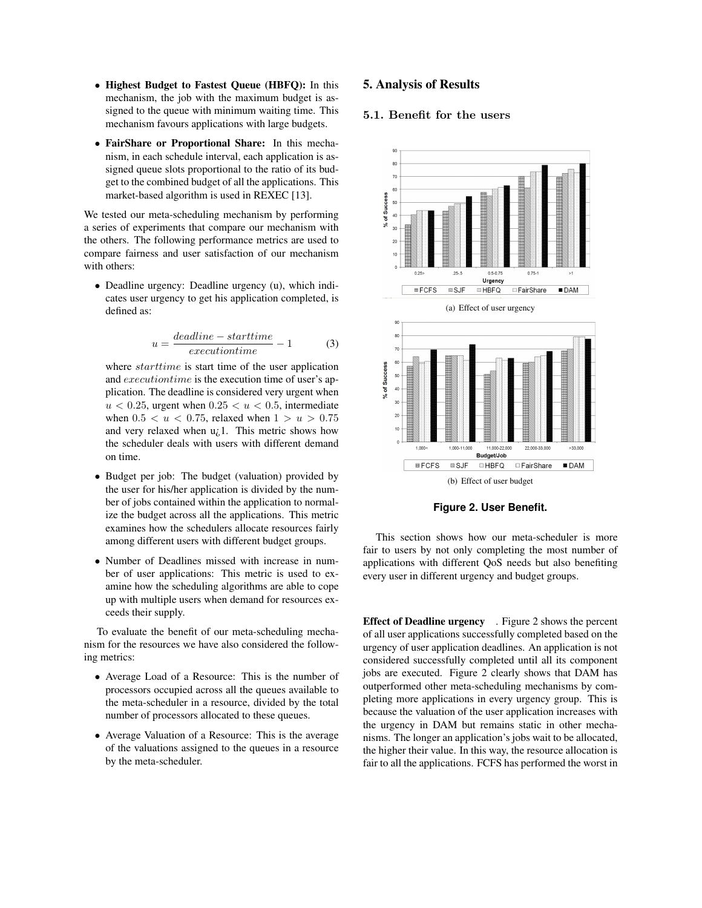- Highest Budget to Fastest Queue (HBFQ): In this mechanism, the job with the maximum budget is assigned to the queue with minimum waiting time. This mechanism favours applications with large budgets.
- FairShare or Proportional Share: In this mechanism, in each schedule interval, each application is assigned queue slots proportional to the ratio of its budget to the combined budget of all the applications. This market-based algorithm is used in REXEC [13].

We tested our meta-scheduling mechanism by performing a series of experiments that compare our mechanism with the others. The following performance metrics are used to compare fairness and user satisfaction of our mechanism with others:

• Deadline urgency: Deadline urgency (u), which indicates user urgency to get his application completed, is defined as:

$$
u = \frac{deadline - starttime}{execution time} - 1
$$
 (3)

where *starttime* is start time of the user application and executiontime is the execution time of user's application. The deadline is considered very urgent when  $u < 0.25$ , urgent when  $0.25 < u < 0.5$ , intermediate when  $0.5 < u < 0.75$ , relaxed when  $1 > u > 0.75$ and very relaxed when  $u/1$ . This metric shows how the scheduler deals with users with different demand on time.

- Budget per job: The budget (valuation) provided by the user for his/her application is divided by the number of jobs contained within the application to normalize the budget across all the applications. This metric examines how the schedulers allocate resources fairly among different users with different budget groups.
- Number of Deadlines missed with increase in number of user applications: This metric is used to examine how the scheduling algorithms are able to cope up with multiple users when demand for resources exceeds their supply.

To evaluate the benefit of our meta-scheduling mechanism for the resources we have also considered the following metrics:

- Average Load of a Resource: This is the number of processors occupied across all the queues available to the meta-scheduler in a resource, divided by the total number of processors allocated to these queues.
- Average Valuation of a Resource: This is the average of the valuations assigned to the queues in a resource by the meta-scheduler.

### 5. Analysis of Results

# 5.1. Benefit for the users



**Figure 2. User Benefit.**

This section shows how our meta-scheduler is more fair to users by not only completing the most number of applications with different QoS needs but also benefiting every user in different urgency and budget groups.

Effect of Deadline urgency . Figure 2 shows the percent of all user applications successfully completed based on the urgency of user application deadlines. An application is not considered successfully completed until all its component jobs are executed. Figure 2 clearly shows that DAM has outperformed other meta-scheduling mechanisms by completing more applications in every urgency group. This is because the valuation of the user application increases with the urgency in DAM but remains static in other mechanisms. The longer an application's jobs wait to be allocated, the higher their value. In this way, the resource allocation is fair to all the applications. FCFS has performed the worst in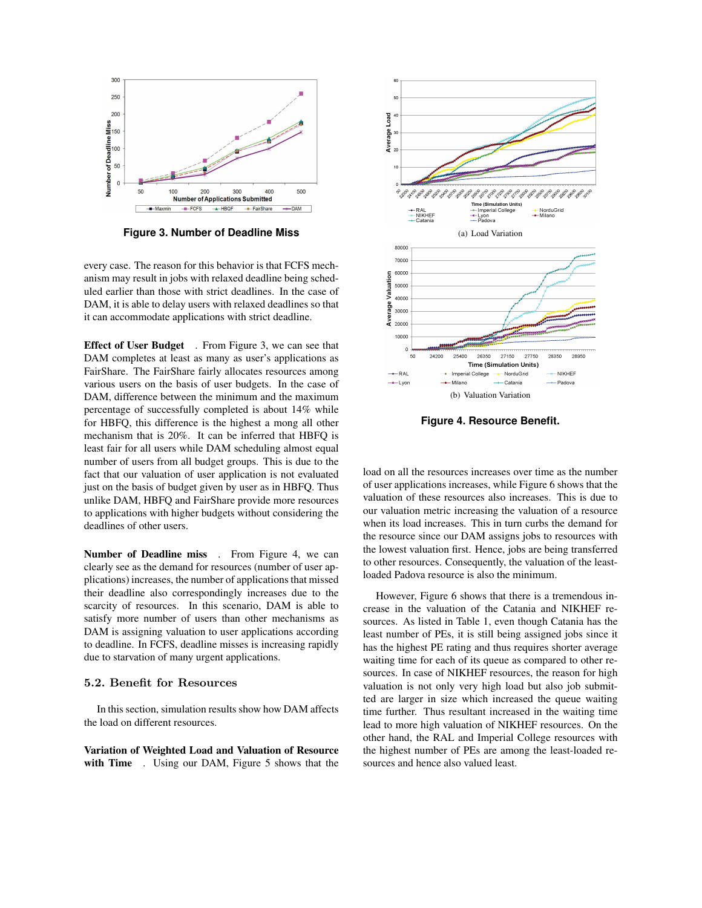

**Figure 3. Number of Deadline Miss**

every case. The reason for this behavior is that FCFS mechanism may result in jobs with relaxed deadline being scheduled earlier than those with strict deadlines. In the case of DAM, it is able to delay users with relaxed deadlines so that it can accommodate applications with strict deadline.

Effect of User Budget . From Figure 3, we can see that DAM completes at least as many as user's applications as FairShare. The FairShare fairly allocates resources among various users on the basis of user budgets. In the case of DAM, difference between the minimum and the maximum percentage of successfully completed is about 14% while for HBFQ, this difference is the highest a mong all other mechanism that is 20%. It can be inferred that HBFQ is least fair for all users while DAM scheduling almost equal number of users from all budget groups. This is due to the fact that our valuation of user application is not evaluated just on the basis of budget given by user as in HBFQ. Thus unlike DAM, HBFQ and FairShare provide more resources to applications with higher budgets without considering the deadlines of other users.

Number of Deadline miss . From Figure 4, we can clearly see as the demand for resources (number of user applications) increases, the number of applications that missed their deadline also correspondingly increases due to the scarcity of resources. In this scenario, DAM is able to satisfy more number of users than other mechanisms as DAM is assigning valuation to user applications according to deadline. In FCFS, deadline misses is increasing rapidly due to starvation of many urgent applications.

# 5.2. Benefit for Resources

In this section, simulation results show how DAM affects the load on different resources.

Variation of Weighted Load and Valuation of Resource with Time . Using our DAM, Figure 5 shows that the



**Figure 4. Resource Benefit.**

load on all the resources increases over time as the number of user applications increases, while Figure 6 shows that the valuation of these resources also increases. This is due to our valuation metric increasing the valuation of a resource when its load increases. This in turn curbs the demand for the resource since our DAM assigns jobs to resources with the lowest valuation first. Hence, jobs are being transferred to other resources. Consequently, the valuation of the leastloaded Padova resource is also the minimum.

However, Figure 6 shows that there is a tremendous increase in the valuation of the Catania and NIKHEF resources. As listed in Table 1, even though Catania has the least number of PEs, it is still being assigned jobs since it has the highest PE rating and thus requires shorter average waiting time for each of its queue as compared to other resources. In case of NIKHEF resources, the reason for high valuation is not only very high load but also job submitted are larger in size which increased the queue waiting time further. Thus resultant increased in the waiting time lead to more high valuation of NIKHEF resources. On the other hand, the RAL and Imperial College resources with the highest number of PEs are among the least-loaded resources and hence also valued least.